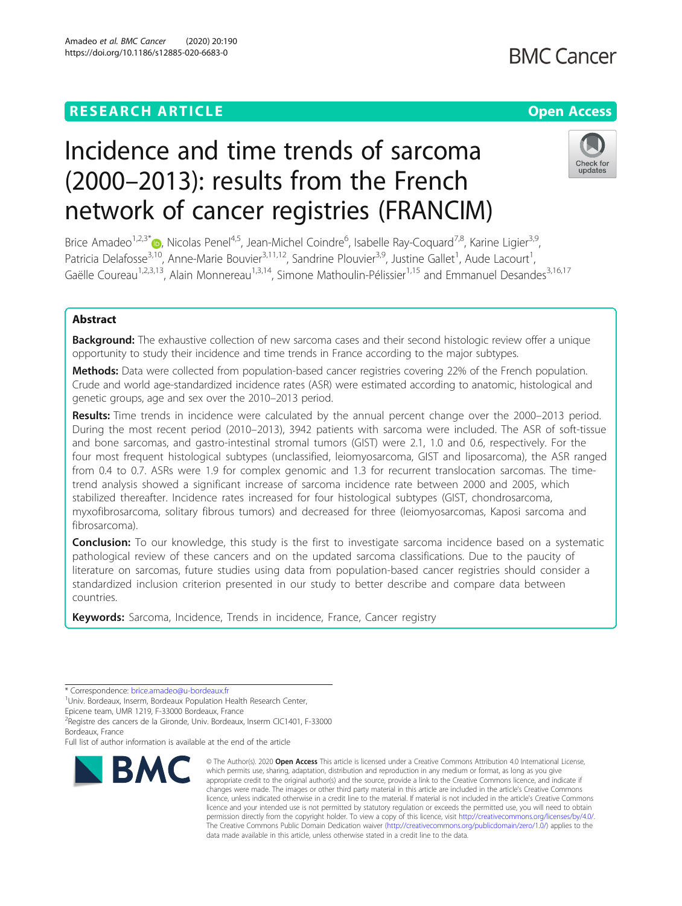# Incidence and time trends of sarcoma (2000–2013): results from the French network of cancer registries (FRANCIM)

Brice Amadeo<sup>1,2,3[\\*](http://orcid.org/0000-0003-2057-598X)</sup> (D, Nicolas Penel<sup>4,5</sup>, Jean-Michel Coindre<sup>6</sup>, Isabelle Ray-Coquard<sup>7,8</sup>, Karine Ligier<sup>3,9</sup>, Patricia Delafosse<sup>3,10</sup>, Anne-Marie Bouvier<sup>3,11,12</sup>, Sandrine Plouvier<sup>3,9</sup>, Justine Gallet<sup>1</sup>, Aude Lacourt<sup>1</sup> , Gaëlle Coureau<sup>1,2,3,13</sup>, Alain Monnereau<sup>1,3,14</sup>, Simone Mathoulin-Pélissier<sup>1,15</sup> and Emmanuel Desandes<sup>3,16,17</sup>

### Abstract

**Background:** The exhaustive collection of new sarcoma cases and their second histologic review offer a unique opportunity to study their incidence and time trends in France according to the major subtypes.

Methods: Data were collected from population-based cancer registries covering 22% of the French population. Crude and world age-standardized incidence rates (ASR) were estimated according to anatomic, histological and genetic groups, age and sex over the 2010–2013 period.

Results: Time trends in incidence were calculated by the annual percent change over the 2000–2013 period. During the most recent period (2010–2013), 3942 patients with sarcoma were included. The ASR of soft-tissue and bone sarcomas, and gastro-intestinal stromal tumors (GIST) were 2.1, 1.0 and 0.6, respectively. For the four most frequent histological subtypes (unclassified, leiomyosarcoma, GIST and liposarcoma), the ASR ranged from 0.4 to 0.7. ASRs were 1.9 for complex genomic and 1.3 for recurrent translocation sarcomas. The timetrend analysis showed a significant increase of sarcoma incidence rate between 2000 and 2005, which stabilized thereafter. Incidence rates increased for four histological subtypes (GIST, chondrosarcoma, myxofibrosarcoma, solitary fibrous tumors) and decreased for three (leiomyosarcomas, Kaposi sarcoma and fibrosarcoma).

**Conclusion:** To our knowledge, this study is the first to investigate sarcoma incidence based on a systematic pathological review of these cancers and on the updated sarcoma classifications. Due to the paucity of literature on sarcomas, future studies using data from population-based cancer registries should consider a standardized inclusion criterion presented in our study to better describe and compare data between countries.

data made available in this article, unless otherwise stated in a credit line to the data.

© The Author(s), 2020 **Open Access** This article is licensed under a Creative Commons Attribution 4.0 International License, which permits use, sharing, adaptation, distribution and reproduction in any medium or format, as long as you give

The Creative Commons Public Domain Dedication waiver [\(http://creativecommons.org/publicdomain/zero/1.0/](http://creativecommons.org/publicdomain/zero/1.0/)) applies to the

Keywords: Sarcoma, Incidence, Trends in incidence, France, Cancer registry

**BMC** 

<sup>1</sup> Univ. Bordeaux, Inserm, Bordeaux Population Health Research Center,

<sup>2</sup> Registre des cancers de la Gironde, Univ. Bordeaux, Inserm CIC1401, F-33000 Bordeaux, France

## Epicene team, UMR 1219, F-33000 Bordeaux, France

Full list of author information is available at the end of the article





<sup>\*</sup> Correspondence: [brice.amadeo@u-bordeaux.fr](mailto:brice.amadeo@u-bordeaux.fr) <sup>1</sup>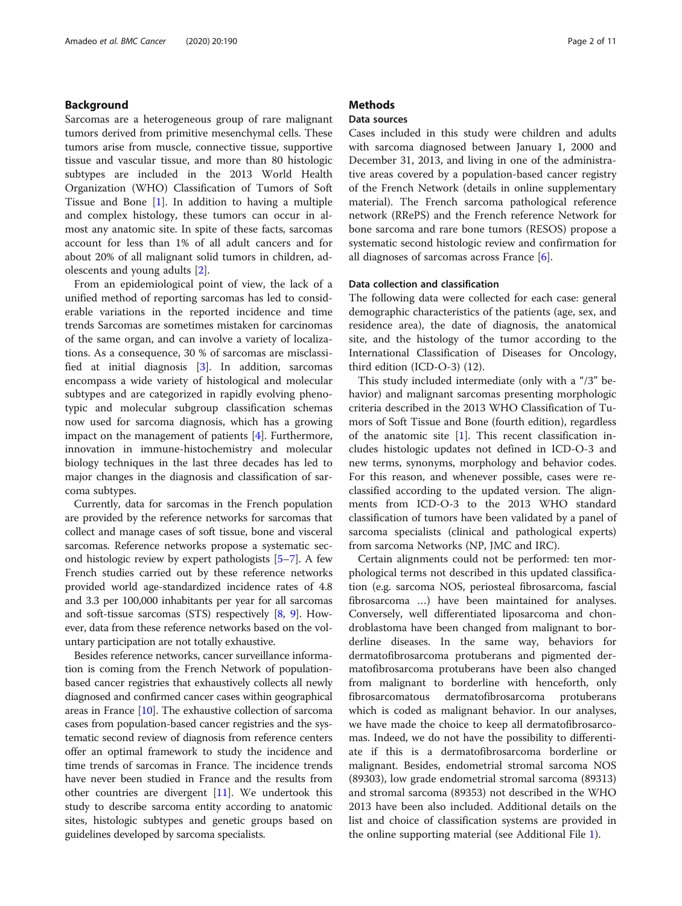#### Background

Sarcomas are a heterogeneous group of rare malignant tumors derived from primitive mesenchymal cells. These tumors arise from muscle, connective tissue, supportive tissue and vascular tissue, and more than 80 histologic subtypes are included in the 2013 World Health Organization (WHO) Classification of Tumors of Soft Tissue and Bone [\[1](#page-10-0)]. In addition to having a multiple and complex histology, these tumors can occur in almost any anatomic site. In spite of these facts, sarcomas account for less than 1% of all adult cancers and for about 20% of all malignant solid tumors in children, adolescents and young adults [\[2\]](#page-10-0).

From an epidemiological point of view, the lack of a unified method of reporting sarcomas has led to considerable variations in the reported incidence and time trends Sarcomas are sometimes mistaken for carcinomas of the same organ, and can involve a variety of localizations. As a consequence, 30 % of sarcomas are misclassified at initial diagnosis [[3](#page-10-0)]. In addition, sarcomas encompass a wide variety of histological and molecular subtypes and are categorized in rapidly evolving phenotypic and molecular subgroup classification schemas now used for sarcoma diagnosis, which has a growing impact on the management of patients [[4\]](#page-10-0). Furthermore, innovation in immune-histochemistry and molecular biology techniques in the last three decades has led to major changes in the diagnosis and classification of sarcoma subtypes.

Currently, data for sarcomas in the French population are provided by the reference networks for sarcomas that collect and manage cases of soft tissue, bone and visceral sarcomas. Reference networks propose a systematic second histologic review by expert pathologists [\[5](#page-10-0)–[7\]](#page-10-0). A few French studies carried out by these reference networks provided world age-standardized incidence rates of 4.8 and 3.3 per 100,000 inhabitants per year for all sarcomas and soft-tissue sarcomas (STS) respectively [\[8](#page-10-0), [9](#page-10-0)]. However, data from these reference networks based on the voluntary participation are not totally exhaustive.

Besides reference networks, cancer surveillance information is coming from the French Network of populationbased cancer registries that exhaustively collects all newly diagnosed and confirmed cancer cases within geographical areas in France [\[10](#page-10-0)]. The exhaustive collection of sarcoma cases from population-based cancer registries and the systematic second review of diagnosis from reference centers offer an optimal framework to study the incidence and time trends of sarcomas in France. The incidence trends have never been studied in France and the results from other countries are divergent [\[11\]](#page-10-0). We undertook this study to describe sarcoma entity according to anatomic sites, histologic subtypes and genetic groups based on guidelines developed by sarcoma specialists.

#### **Methods**

#### Data sources

Cases included in this study were children and adults with sarcoma diagnosed between January 1, 2000 and December 31, 2013, and living in one of the administrative areas covered by a population-based cancer registry of the French Network (details in online supplementary material). The French sarcoma pathological reference network (RRePS) and the French reference Network for bone sarcoma and rare bone tumors (RESOS) propose a systematic second histologic review and confirmation for all diagnoses of sarcomas across France [[6\]](#page-10-0).

#### Data collection and classification

The following data were collected for each case: general demographic characteristics of the patients (age, sex, and residence area), the date of diagnosis, the anatomical site, and the histology of the tumor according to the International Classification of Diseases for Oncology, third edition (ICD-O-3) (12).

This study included intermediate (only with a "/3" behavior) and malignant sarcomas presenting morphologic criteria described in the 2013 WHO Classification of Tumors of Soft Tissue and Bone (fourth edition), regardless of the anatomic site  $[1]$  $[1]$ . This recent classification includes histologic updates not defined in ICD-O-3 and new terms, synonyms, morphology and behavior codes. For this reason, and whenever possible, cases were reclassified according to the updated version. The alignments from ICD-O-3 to the 2013 WHO standard classification of tumors have been validated by a panel of sarcoma specialists (clinical and pathological experts) from sarcoma Networks (NP, JMC and IRC).

Certain alignments could not be performed: ten morphological terms not described in this updated classification (e.g. sarcoma NOS, periosteal fibrosarcoma, fascial fibrosarcoma …) have been maintained for analyses. Conversely, well differentiated liposarcoma and chondroblastoma have been changed from malignant to borderline diseases. In the same way, behaviors for dermatofibrosarcoma protuberans and pigmented dermatofibrosarcoma protuberans have been also changed from malignant to borderline with henceforth, only fibrosarcomatous dermatofibrosarcoma protuberans which is coded as malignant behavior. In our analyses, we have made the choice to keep all dermatofibrosarcomas. Indeed, we do not have the possibility to differentiate if this is a dermatofibrosarcoma borderline or malignant. Besides, endometrial stromal sarcoma NOS (89303), low grade endometrial stromal sarcoma (89313) and stromal sarcoma (89353) not described in the WHO 2013 have been also included. Additional details on the list and choice of classification systems are provided in the online supporting material (see Additional File [1\)](#page-9-0).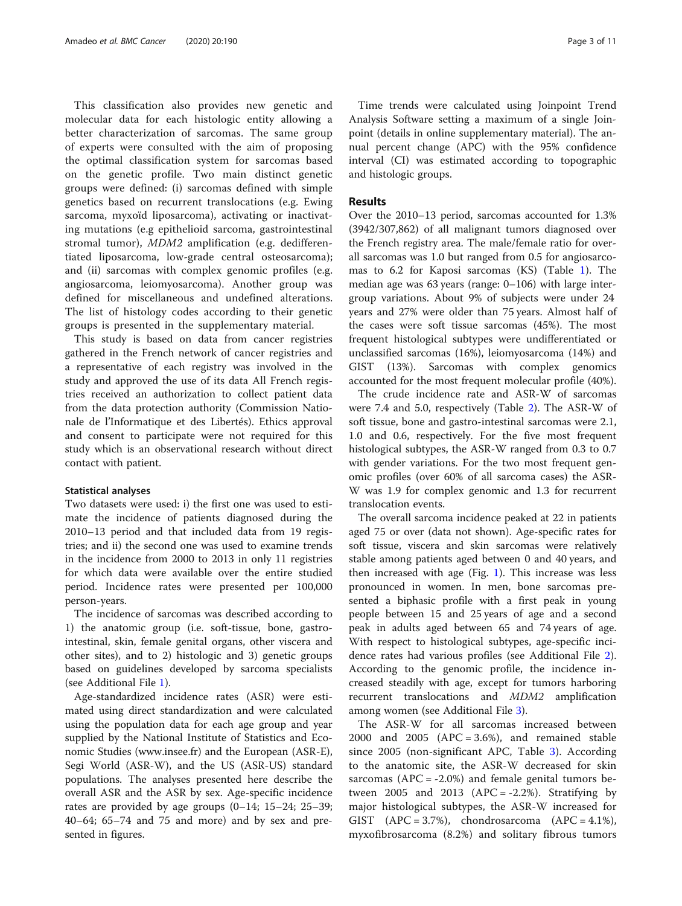This classification also provides new genetic and molecular data for each histologic entity allowing a better characterization of sarcomas. The same group of experts were consulted with the aim of proposing the optimal classification system for sarcomas based on the genetic profile. Two main distinct genetic groups were defined: (i) sarcomas defined with simple genetics based on recurrent translocations (e.g. Ewing sarcoma, myxoïd liposarcoma), activating or inactivating mutations (e.g epithelioid sarcoma, gastrointestinal stromal tumor), MDM2 amplification (e.g. dedifferentiated liposarcoma, low-grade central osteosarcoma); and (ii) sarcomas with complex genomic profiles (e.g. angiosarcoma, leiomyosarcoma). Another group was defined for miscellaneous and undefined alterations. The list of histology codes according to their genetic groups is presented in the supplementary material.

This study is based on data from cancer registries gathered in the French network of cancer registries and a representative of each registry was involved in the study and approved the use of its data All French registries received an authorization to collect patient data from the data protection authority (Commission Nationale de l'Informatique et des Libertés). Ethics approval and consent to participate were not required for this study which is an observational research without direct contact with patient.

#### Statistical analyses

Two datasets were used: i) the first one was used to estimate the incidence of patients diagnosed during the 2010–13 period and that included data from 19 registries; and ii) the second one was used to examine trends in the incidence from 2000 to 2013 in only 11 registries for which data were available over the entire studied period. Incidence rates were presented per 100,000 person-years.

The incidence of sarcomas was described according to 1) the anatomic group (i.e. soft-tissue, bone, gastrointestinal, skin, female genital organs, other viscera and other sites), and to 2) histologic and 3) genetic groups based on guidelines developed by sarcoma specialists (see Additional File [1\)](#page-9-0).

Age-standardized incidence rates (ASR) were estimated using direct standardization and were calculated using the population data for each age group and year supplied by the National Institute of Statistics and Economic Studies (www.insee.fr) and the European (ASR-E), Segi World (ASR-W), and the US (ASR-US) standard populations. The analyses presented here describe the overall ASR and the ASR by sex. Age-specific incidence rates are provided by age groups (0–14; 15–24; 25–39; 40–64; 65–74 and 75 and more) and by sex and presented in figures.

Time trends were calculated using Joinpoint Trend Analysis Software setting a maximum of a single Joinpoint (details in online supplementary material). The annual percent change (APC) with the 95% confidence interval (CI) was estimated according to topographic and histologic groups.

#### Results

Over the 2010–13 period, sarcomas accounted for 1.3% (3942/307,862) of all malignant tumors diagnosed over the French registry area. The male/female ratio for overall sarcomas was 1.0 but ranged from 0.5 for angiosarcomas to 6.2 for Kaposi sarcomas (KS) (Table [1](#page-3-0)). The median age was 63 years (range: 0–106) with large intergroup variations. About 9% of subjects were under 24 years and 27% were older than 75 years. Almost half of the cases were soft tissue sarcomas (45%). The most frequent histological subtypes were undifferentiated or unclassified sarcomas (16%), leiomyosarcoma (14%) and GIST (13%). Sarcomas with complex genomics accounted for the most frequent molecular profile (40%).

The crude incidence rate and ASR-W of sarcomas were 7.4 and 5.0, respectively (Table [2](#page-5-0)). The ASR-W of soft tissue, bone and gastro-intestinal sarcomas were 2.1, 1.0 and 0.6, respectively. For the five most frequent histological subtypes, the ASR-W ranged from 0.3 to 0.7 with gender variations. For the two most frequent genomic profiles (over 60% of all sarcoma cases) the ASR-W was 1.9 for complex genomic and 1.3 for recurrent translocation events.

The overall sarcoma incidence peaked at 22 in patients aged 75 or over (data not shown). Age-specific rates for soft tissue, viscera and skin sarcomas were relatively stable among patients aged between 0 and 40 years, and then increased with age  $(Fig. 1)$  $(Fig. 1)$ . This increase was less pronounced in women. In men, bone sarcomas presented a biphasic profile with a first peak in young people between 15 and 25 years of age and a second peak in adults aged between 65 and 74 years of age. With respect to histological subtypes, age-specific incidence rates had various profiles (see Additional File [2](#page-9-0)). According to the genomic profile, the incidence increased steadily with age, except for tumors harboring recurrent translocations and MDM2 amplification among women (see Additional File [3\)](#page-9-0).

The ASR-W for all sarcomas increased between 2000 and 2005 (APC = 3.6%), and remained stable since 2005 (non-significant APC, Table [3](#page-8-0)). According to the anatomic site, the ASR-W decreased for skin sarcomas  $(APC = -2.0\%)$  and female genital tumors between 2005 and 2013 (APC =  $-2.2\%$ ). Stratifying by major histological subtypes, the ASR-W increased for GIST  $(APC = 3.7\%)$ , chondrosarcoma  $(APC = 4.1\%)$ , myxofibrosarcoma (8.2%) and solitary fibrous tumors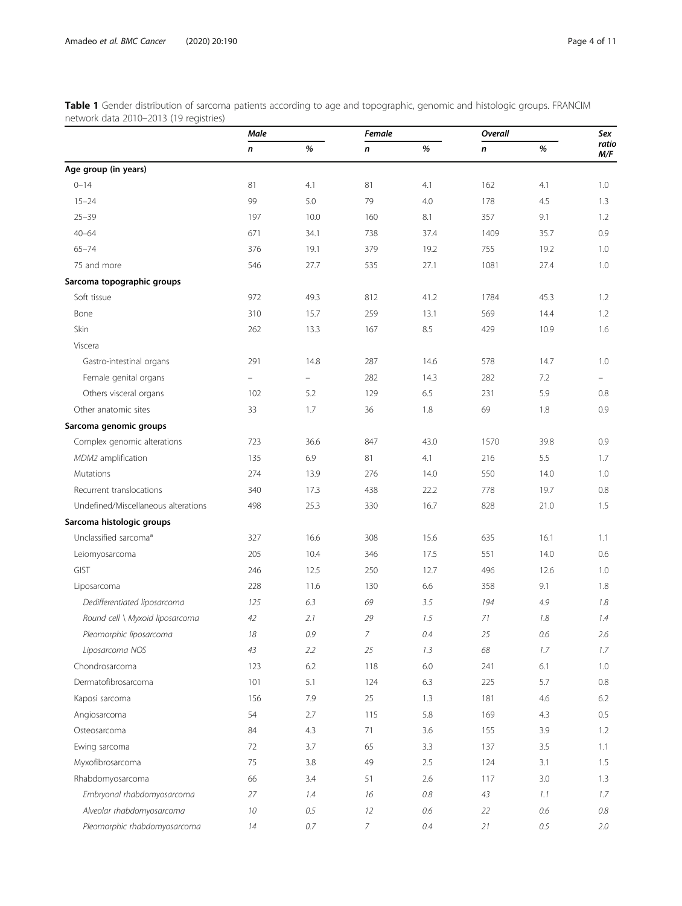<span id="page-3-0"></span>Table 1 Gender distribution of sarcoma patients according to age and topographic, genomic and histologic groups. FRANCIM network data 2010–2013 (19 registries)

|                                     | Male     |                          | <b>Female</b> |         | Overall |         | Sex          |
|-------------------------------------|----------|--------------------------|---------------|---------|---------|---------|--------------|
|                                     | n        | %                        | n             | %       | n       | %       | ratio<br>M/F |
| Age group (in years)                |          |                          |               |         |         |         |              |
| $0 - 14$                            | 81       | 4.1                      | 81            | 4.1     | 162     | 4.1     | 1.0          |
| $15 - 24$                           | 99       | 5.0                      | 79            | 4.0     | 178     | 4.5     | 1.3          |
| $25 - 39$                           | 197      | 10.0                     | 160           | 8.1     | 357     | 9.1     | 1.2          |
| $40 - 64$                           | 671      | 34.1                     | 738           | 37.4    | 1409    | 35.7    | 0.9          |
| $65 - 74$                           | 376      | 19.1                     | 379           | 19.2    | 755     | 19.2    | 1.0          |
| 75 and more                         | 546      | 27.7                     | 535           | 27.1    | 1081    | 27.4    | 1.0          |
| Sarcoma topographic groups          |          |                          |               |         |         |         |              |
| Soft tissue                         | 972      | 49.3                     | 812           | 41.2    | 1784    | 45.3    | 1.2          |
| Bone                                | 310      | 15.7                     | 259           | 13.1    | 569     | 14.4    | 1.2          |
| Skin                                | 262      | 13.3                     | 167           | 8.5     | 429     | 10.9    | 1.6          |
| Viscera                             |          |                          |               |         |         |         |              |
| Gastro-intestinal organs            | 291      | 14.8                     | 287           | 14.6    | 578     | 14.7    | 1.0          |
| Female genital organs               | $\equiv$ | $\overline{\phantom{0}}$ | 282           | 14.3    | 282     | 7.2     |              |
| Others visceral organs              | 102      | 5.2                      | 129           | 6.5     | 231     | 5.9     | 0.8          |
| Other anatomic sites                | 33       | 1.7                      | 36            | 1.8     | 69      | 1.8     | 0.9          |
| Sarcoma genomic groups              |          |                          |               |         |         |         |              |
| Complex genomic alterations         | 723      | 36.6                     | 847           | 43.0    | 1570    | 39.8    | 0.9          |
| MDM2 amplification                  | 135      | 6.9                      | 81            | 4.1     | 216     | 5.5     | 1.7          |
| Mutations                           | 274      | 13.9                     | 276           | 14.0    | 550     | 14.0    | 1.0          |
| Recurrent translocations            | 340      | 17.3                     | 438           | 22.2    | 778     | 19.7    | 0.8          |
| Undefined/Miscellaneous alterations | 498      | 25.3                     | 330           | 16.7    | 828     | 21.0    | 1.5          |
| Sarcoma histologic groups           |          |                          |               |         |         |         |              |
| Unclassified sarcoma <sup>a</sup>   | 327      | 16.6                     | 308           | 15.6    | 635     | 16.1    | 1.1          |
| Leiomyosarcoma                      | 205      | 10.4                     | 346           | 17.5    | 551     | 14.0    | 0.6          |
| GIST                                | 246      | 12.5                     | 250           | 12.7    | 496     | 12.6    | 1.0          |
| Liposarcoma                         | 228      | 11.6                     | 130           | 6.6     | 358     | 9.1     | 1.8          |
| Dedifferentiated liposarcoma        | 125      | 6.3                      | 69            | 3.5     | 194     | 4.9     | 1.8          |
| Round cell \ Myxoid liposarcoma     | 42       | 2.1                      | 29            | 1.5     | 71      | 1.8     | 1.4          |
| Pleomorphic liposarcoma             | 18       | 0.9                      | 7             | $0.4\,$ | 25      | 0.6     | 2.6          |
| Liposarcoma NOS                     | 43       | 2.2                      | 25            | 1.3     | 68      | 1.7     | 1.7          |
| Chondrosarcoma                      | 123      | 6.2                      | 118           | $6.0\,$ | 241     | 6.1     | 1.0          |
| Dermatofibrosarcoma                 | 101      | 5.1                      | 124           | 6.3     | 225     | 5.7     | 0.8          |
| Kaposi sarcoma                      | 156      | 7.9                      | 25            | 1.3     | 181     | 4.6     | 6.2          |
| Angiosarcoma                        | 54       | 2.7                      | 115           | 5.8     | 169     | 4.3     | 0.5          |
| Osteosarcoma                        | 84       | 4.3                      | 71            | 3.6     | 155     | 3.9     | 1.2          |
| Ewing sarcoma                       | 72       | 3.7                      | 65            | 3.3     | 137     | 3.5     | 1.1          |
| Myxofibrosarcoma                    | 75       | 3.8                      | 49            | 2.5     | 124     | 3.1     | 1.5          |
| Rhabdomyosarcoma                    | 66       | 3.4                      | 51            | 2.6     | 117     | 3.0     | 1.3          |
| Embryonal rhabdomyosarcoma          | 27       | 1.4                      | 16            | $0.8\,$ | 43      | 1.1     | 1.7          |
| Alveolar rhabdomyosarcoma           | 10       | 0.5                      | 12            | $0.6\,$ | 22      | $0.6\,$ | $0.8\,$      |
| Pleomorphic rhabdomyosarcoma        | $14\,$   | $0.7\,$                  | $\bar{Z}$     | $0.4\,$ | 21      | $0.5\,$ | 2.0          |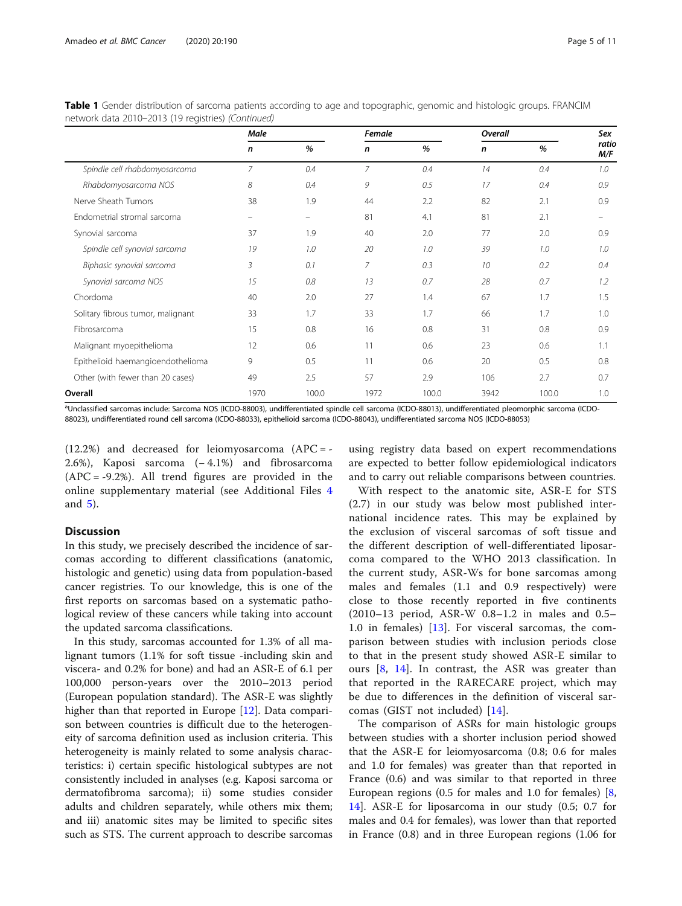|                                   | Male           |                          | Female         |       | Overall |       | Sex          |
|-----------------------------------|----------------|--------------------------|----------------|-------|---------|-------|--------------|
|                                   | n              | %                        | $\mathsf{n}$   | %     | n       | %     | ratio<br>M/F |
| Spindle cell rhabdomyosarcoma     | $\overline{7}$ | 0.4                      | $\overline{7}$ | 0.4   | 14      | 0.4   | 1.0          |
| Rhabdomyosarcoma NOS              | 8              | 0.4                      | 9              | 0.5   | 17      | 0.4   | 0.9          |
| Nerve Sheath Tumors               | 38             | 1.9                      | 44             | 2.2   | 82      | 2.1   | 0.9          |
| Endometrial stromal sarcoma       | -              | $\overline{\phantom{0}}$ | 81             | 4.1   | 81      | 2.1   | -            |
| Synovial sarcoma                  | 37             | 1.9                      | 40             | 2.0   | 77      | 2.0   | 0.9          |
| Spindle cell synovial sarcoma     | 19             | 1.0                      | 20             | 1.0   | 39      | 1.0   | 1.0          |
| Biphasic synovial sarcoma         | 3              | 0.1                      | 7              | 0.3   | 10      | 0.2   | 0.4          |
| Synovial sarcoma NOS              | 15             | 0.8                      | 13             | 0.7   | 28      | 0.7   | 1.2          |
| Chordoma                          | 40             | 2.0                      | 27             | 1.4   | 67      | 1.7   | 1.5          |
| Solitary fibrous tumor, malignant | 33             | 1.7                      | 33             | 1.7   | 66      | 1.7   | 1.0          |
| Fibrosarcoma                      | 15             | 0.8                      | 16             | 0.8   | 31      | 0.8   | 0.9          |
| Malignant myoepithelioma          | 12             | 0.6                      | 11             | 0.6   | 23      | 0.6   | 1.1          |
| Epithelioid haemangioendothelioma | 9              | 0.5                      | 11             | 0.6   | 20      | 0.5   | 0.8          |
| Other (with fewer than 20 cases)  | 49             | 2.5                      | 57             | 2.9   | 106     | 2.7   | 0.7          |
| Overall                           | 1970           | 100.0                    | 1972           | 100.0 | 3942    | 100.0 | 1.0          |

Table 1 Gender distribution of sarcoma patients according to age and topographic, genomic and histologic groups. FRANCIM network data 2010–2013 (19 registries) (Continued)

a Unclassified sarcomas include: Sarcoma NOS (ICDO-88003), undifferentiated spindle cell sarcoma (ICDO-88013), undifferentiated pleomorphic sarcoma (ICDO-88023), undifferentiated round cell sarcoma (ICDO-88033), epithelioid sarcoma (ICDO-88043), undifferentiated sarcoma NOS (ICDO-88053)

 $(12.2%)$  and decreased for leiomyosarcoma  $(APC = -$ 2.6%), Kaposi sarcoma (− 4.1%) and fibrosarcoma  $(APC = -9.2\%)$ . All trend figures are provided in the online supplementary material (see Additional Files [4](#page-9-0) and [5\)](#page-9-0).

#### **Discussion**

In this study, we precisely described the incidence of sarcomas according to different classifications (anatomic, histologic and genetic) using data from population-based cancer registries. To our knowledge, this is one of the first reports on sarcomas based on a systematic pathological review of these cancers while taking into account the updated sarcoma classifications.

In this study, sarcomas accounted for 1.3% of all malignant tumors (1.1% for soft tissue -including skin and viscera- and 0.2% for bone) and had an ASR-E of 6.1 per 100,000 person-years over the 2010–2013 period (European population standard). The ASR-E was slightly higher than that reported in Europe [\[12](#page-10-0)]. Data comparison between countries is difficult due to the heterogeneity of sarcoma definition used as inclusion criteria. This heterogeneity is mainly related to some analysis characteristics: i) certain specific histological subtypes are not consistently included in analyses (e.g. Kaposi sarcoma or dermatofibroma sarcoma); ii) some studies consider adults and children separately, while others mix them; and iii) anatomic sites may be limited to specific sites such as STS. The current approach to describe sarcomas

using registry data based on expert recommendations are expected to better follow epidemiological indicators and to carry out reliable comparisons between countries.

With respect to the anatomic site, ASR-E for STS (2.7) in our study was below most published international incidence rates. This may be explained by the exclusion of visceral sarcomas of soft tissue and the different description of well-differentiated liposarcoma compared to the WHO 2013 classification. In the current study, ASR-Ws for bone sarcomas among males and females (1.1 and 0.9 respectively) were close to those recently reported in five continents (2010–13 period, ASR-W 0.8–1.2 in males and 0.5– 1.0 in females) [[13\]](#page-10-0). For visceral sarcomas, the comparison between studies with inclusion periods close to that in the present study showed ASR-E similar to ours [[8,](#page-10-0) [14\]](#page-10-0). In contrast, the ASR was greater than that reported in the RARECARE project, which may be due to differences in the definition of visceral sarcomas (GIST not included) [[14\]](#page-10-0).

The comparison of ASRs for main histologic groups between studies with a shorter inclusion period showed that the ASR-E for leiomyosarcoma (0.8; 0.6 for males and 1.0 for females) was greater than that reported in France (0.6) and was similar to that reported in three European regions (0.5 for males and 1.0 for females) [\[8](#page-10-0), [14\]](#page-10-0). ASR-E for liposarcoma in our study (0.5; 0.7 for males and 0.4 for females), was lower than that reported in France (0.8) and in three European regions (1.06 for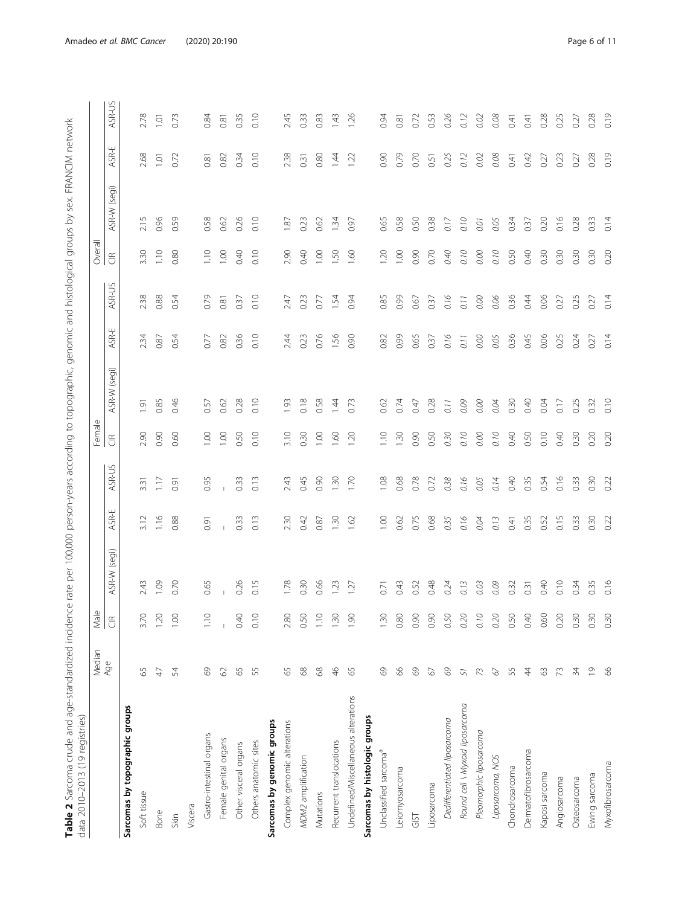| į                                                                                                        |                                       |
|----------------------------------------------------------------------------------------------------------|---------------------------------------|
|                                                                                                          |                                       |
|                                                                                                          |                                       |
|                                                                                                          |                                       |
|                                                                                                          |                                       |
| $\overline{\phantom{a}}$                                                                                 |                                       |
|                                                                                                          |                                       |
|                                                                                                          |                                       |
|                                                                                                          |                                       |
|                                                                                                          |                                       |
| į                                                                                                        |                                       |
|                                                                                                          |                                       |
| $\frac{2}{2}$                                                                                            |                                       |
|                                                                                                          |                                       |
|                                                                                                          |                                       |
|                                                                                                          |                                       |
|                                                                                                          |                                       |
|                                                                                                          |                                       |
|                                                                                                          |                                       |
|                                                                                                          |                                       |
|                                                                                                          |                                       |
|                                                                                                          |                                       |
|                                                                                                          |                                       |
|                                                                                                          |                                       |
|                                                                                                          |                                       |
|                                                                                                          |                                       |
|                                                                                                          |                                       |
|                                                                                                          |                                       |
|                                                                                                          |                                       |
|                                                                                                          |                                       |
| "The Incidence rate per 100,000 person-years according to tononorabhic nenomic and hierological organism |                                       |
|                                                                                                          |                                       |
|                                                                                                          |                                       |
|                                                                                                          |                                       |
|                                                                                                          |                                       |
|                                                                                                          |                                       |
|                                                                                                          |                                       |
|                                                                                                          |                                       |
|                                                                                                          |                                       |
|                                                                                                          |                                       |
|                                                                                                          |                                       |
|                                                                                                          |                                       |
|                                                                                                          |                                       |
|                                                                                                          |                                       |
|                                                                                                          |                                       |
|                                                                                                          |                                       |
|                                                                                                          |                                       |
|                                                                                                          |                                       |
|                                                                                                          |                                       |
|                                                                                                          |                                       |
|                                                                                                          |                                       |
|                                                                                                          |                                       |
|                                                                                                          |                                       |
|                                                                                                          |                                       |
|                                                                                                          |                                       |
|                                                                                                          |                                       |
|                                                                                                          |                                       |
|                                                                                                          |                                       |
|                                                                                                          |                                       |
|                                                                                                          |                                       |
|                                                                                                          |                                       |
|                                                                                                          |                                       |
|                                                                                                          |                                       |
|                                                                                                          |                                       |
|                                                                                                          |                                       |
|                                                                                                          |                                       |
| i                                                                                                        |                                       |
| l                                                                                                        |                                       |
| .<br>!                                                                                                   |                                       |
| i<br>i                                                                                                   |                                       |
|                                                                                                          |                                       |
| j                                                                                                        |                                       |
| i<br>5                                                                                                   |                                       |
|                                                                                                          | $\frac{1}{2}$<br>j                    |
|                                                                                                          | ׇ֓֡֡                                  |
|                                                                                                          |                                       |
| ١                                                                                                        |                                       |
|                                                                                                          |                                       |
|                                                                                                          |                                       |
|                                                                                                          |                                       |
|                                                                                                          |                                       |
| )<br>5                                                                                                   |                                       |
| ļ                                                                                                        |                                       |
| l                                                                                                        |                                       |
| pur alla 1 Caroona criinto and                                                                           |                                       |
|                                                                                                          |                                       |
|                                                                                                          |                                       |
|                                                                                                          | את המומ מומר ב+ב!<br>)<br>)<br>)<br>) |

<span id="page-5-0"></span>

| data 2010-2013 (19 registries)      |                             | $\mathbb U$                                         |                 |           |                  | Female                   |                 |           |        |                                     |                 |                  |                  |
|-------------------------------------|-----------------------------|-----------------------------------------------------|-----------------|-----------|------------------|--------------------------|-----------------|-----------|--------|-------------------------------------|-----------------|------------------|------------------|
|                                     | Median<br>Age               | $\overline{\mathbb{E}}$<br>$\widetilde{\mathbb{E}}$ | (segi)<br>ASR-W | ш<br>ASR- | ASR-US           | $\widetilde{\mathbb{E}}$ | (segi)<br>ASR-W | ш<br>ASR- | ASR-US | Overall<br>$\widetilde{\mathbb{E}}$ | (segi)<br>ASR-W | ASR-             | ASR-US           |
| Sarcomas by topographic groups      |                             |                                                     |                 |           |                  |                          |                 |           |        |                                     |                 |                  |                  |
| Soft tissue                         | 55                          | 3.70                                                | 2.43            | 3.12      | $3.\overline{3}$ | 2.90                     | 1.91            | 234       | 2.38   | 3.30                                | 2.15            | 2.68             | 2.78             |
| Bone                                | A)                          | 120                                                 | 109             | 1.16      | 1.17             | 0.90                     | 0.85            | 0.87      | 0.88   | 1.10                                | 0.96            | $\overline{101}$ | $\overline{101}$ |
| Skin                                | 54                          | 1.00                                                | 0.70            | 0.88      | 0.91             | 0.60                     | 0.46            | 0.54      | 0.54   | 0.80                                | 0.59            | 0.72             | 0.73             |
| Viscera                             |                             |                                                     |                 |           |                  |                          |                 |           |        |                                     |                 |                  |                  |
| Gastro-intestinal organs            | $^{69}$                     | 1.10                                                | 0.65            | 0.91      | 0.95             | 0.00                     | 0.57            | 0.77      | 0.79   | 1.10                                | 0.58            | 0.81             | 0.84             |
| Female genital organs               | $\odot$                     | $\overline{\phantom{a}}$                            |                 |           |                  | $\overline{100}$         | 0.62            | 0.82      | 0.81   | $\overline{100}$                    | 0.62            | 0.82             | 0.81             |
| Other visceral organs               | 65                          | 0.40                                                | 0.26            | 0.33      | 0.33             | 0.50                     | 0.28            | 0.36      | 0.37   | 0.40                                | 0.26            | 0.34             | 0.35             |
| Others anatomic sites               | 55                          | 0.10                                                | 0.15            | 0.13      | 0.13             | 0.10                     | 0.10            | 0.10      | 0.10   | 0.10                                | 0.10            | 0.10             | 0.10             |
| Sarcomas by genomic groups          |                             |                                                     |                 |           |                  |                          |                 |           |        |                                     |                 |                  |                  |
| Complex genomic alterations         | $65$                        | 2.80                                                | 1.78            | 2.30      | 2.43             | 3.10                     | 1.93            | 2.44      | 2.47   | 2.90                                | 18              | 2.38             | 2.45             |
| MDM2 amplification                  | $68$                        | 0.50                                                | 0.30            | 0.42      | 0.45             | 0.30                     | 0.18            | 0.23      | 0.23   | 0.40                                | 0.23            | 0.31             | 0.33             |
| Mutations                           | $\ensuremath{\mathsf{68}}$  | $\frac{1}{2}$                                       | 0.66            | 0.87      | 0.90             | $\overline{100}$         | 0.58            | 0.76      | 0.77   | $\overline{100}$                    | 0.62            | 0.80             | 0.83             |
| Recurrent translocations            | $\frac{6}{5}$               | 1.30                                                | 1.23            | 1.30      | 1.30             | 1.60                     | $\overline{4}$  | 1.56      | 1.54   | 1.50                                | 1.34            | 1.44             | 1.43             |
| Undefined/Miscellaneous alterations | 65                          | 1.90                                                | 127             | 1.62      | 1.70             | 1.20                     | 0.73            | 0.90      | 0.94   | 1.60                                | 0.97            | 1.22             | 1.26             |
| Sarcomas by histologic groups       |                             |                                                     |                 |           |                  |                          |                 |           |        |                                     |                 |                  |                  |
| Unclassified sarcoma <sup>a</sup>   | 89                          | 1.30                                                | 0.71            | 1.00      | 1.08             | 1.10                     | 0.62            | 0.82      | 0.85   | 1.20                                | 0.65            | 0.90             | 0.94             |
| Leiomyosarcoma                      | 66                          | $0.80\,$                                            | 0.43            | 0.62      | 0.68             | 1.30                     | 0.74            | 0.99      | 0.99   | 1.00                                | 0.58            | 0.79             | 0.81             |
| <b>ISI</b>                          | $\mathcal{S}^{\mathcal{O}}$ | 0.90                                                | 0.52            | 0.75      | 0.78             | 0.90                     | 0.47            | 0.65      | 0.67   | 0.90                                | 0.50            | 0.70             | 0.72             |
| Liposarcoma                         | 67                          | 0.90                                                | 0.48            | 0.68      | 0.72             | 0.50                     | 0.28            | 0.37      | 0.37   | 0.70                                | 0.38            | 0.51             | 0.53             |
| Dedifferentiated liposarcoma        | 69                          | 0.50                                                | 0.24            | 0.35      | 0.38             | 0.30                     | 0.11            | 0.16      | 0.16   | 0.40                                | 0.17            | 0.25             | 0.26             |
| Round cell \ Myxoid liposarcoma     | 51                          | 0.20                                                | 0.13            | 0.16      | 0.16             | 0.10                     | 0.09            | 0.11      | 0.11   | 0.10                                | 0.10            | 0.12             | 0.12             |
| Pleomorphic liposarcoma             | 73                          | $0.10$                                              | 0.03            | 0.04      | 0.05             | 0.00                     | 0.00            | 0.00      | 0.00   | 0.00                                | 0.01            | 0.02             | 0.02             |
| Liposarcoma, NOS                    | 67                          | 0.20                                                | 0.09            | 0.13      | 0.14             | 0.10                     | 0.04            | 0.05      | 0.06   | 0.10                                | 0.05            | 0.08             | 0.08             |
| Chondrosarcoma                      | 55                          | 0.50                                                | 0.32            | 0.41      | 0.40             | 0.40                     | 0.30            | 0.36      | 0.36   | 0.50                                | 0.34            | 0.41             | 0.41             |
| Dermatofibrosarcoma                 | $\ddot{4}$                  | 0.40                                                | 0.31            | 0.35      | 0.35             | 0.50                     | 0.40            | 0.45      | 0.44   | 0.40                                | 0.37            | 0.42             | 0.41             |
| Kaposi sarcoma                      | 63                          | 0.60                                                | 0.40            | 0.52      | 0.54             | 0.10                     | 0.04            | 0.06      | 0.06   | 0.30                                | 0.20            | 0.27             | 0.28             |
| Angiosarcoma                        | $73$                        | 0.20                                                | 0.10            | 0.15      | 0.16             | 0.40                     | 0.17            | 0.25      | 0.27   | 0.30                                | 0.16            | 0.23             | 0.25             |
| Osteosarcoma                        | 34                          | 0.30                                                | 0.34            | 0.33      | 0.33             | 0.30                     | 0.25            | 0.24      | 0.25   | 0.30                                | 0.28            | 0.27             | 0.27             |
| Ewing sarcoma                       | $\overline{\circ}$          | 0.30                                                | 0.35            | 0.30      | 0.30             | 0.20                     | 0.32            | 0.27      | 0.27   | 0.30                                | 0.33            | 0.28             | 0.28             |
| Myxofibrosarcoma                    | 66                          | 0.30                                                | 0.16            | 0.22      | 0.22             | 0.20                     | 0.10            | 0.14      | 0.14   | 0.20                                | 0.14            | 0.19             | 0.19             |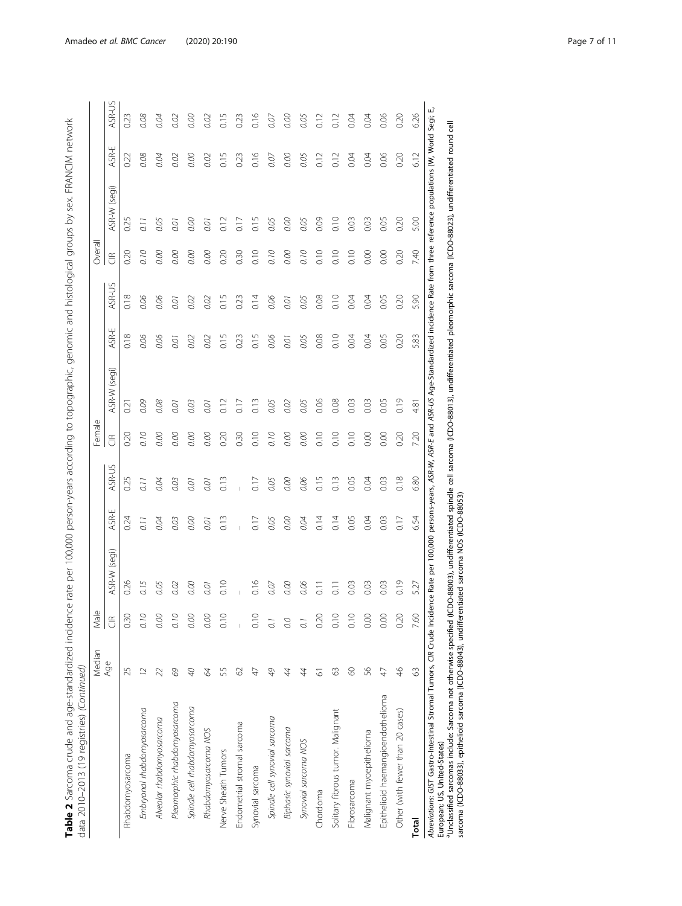| $\frac{1}{2}$            |                          |
|--------------------------|--------------------------|
|                          |                          |
|                          |                          |
| $\overline{\phantom{a}}$ |                          |
|                          |                          |
| į                        |                          |
| .<br>د د د               |                          |
|                          |                          |
|                          |                          |
|                          |                          |
|                          |                          |
|                          |                          |
|                          |                          |
|                          |                          |
|                          |                          |
|                          |                          |
|                          |                          |
|                          |                          |
|                          |                          |
|                          |                          |
|                          |                          |
|                          |                          |
|                          |                          |
|                          |                          |
|                          |                          |
|                          |                          |
|                          |                          |
|                          |                          |
|                          |                          |
|                          |                          |
|                          |                          |
|                          |                          |
| $\mathbf{I}$<br>l        |                          |
| !<br>i<br>i              |                          |
| i                        | I                        |
|                          | $\frac{1}{2}$            |
| てらくてき                    |                          |
|                          |                          |
|                          |                          |
| j<br>I                   |                          |
| וביירי כי הו<br>l        | )<br>2                   |
|                          | ייטון כולה המר היהן<br>5 |

|                                                                      | Median         | Male                   |                                                                                                                                               |      |               | Φ<br>Femal           |                 |      |        | Overall              |                 |            |        |
|----------------------------------------------------------------------|----------------|------------------------|-----------------------------------------------------------------------------------------------------------------------------------------------|------|---------------|----------------------|-----------------|------|--------|----------------------|-----------------|------------|--------|
|                                                                      | Age            | $\frac{\alpha}{\zeta}$ | (seqi)<br>ASR-W                                                                                                                               | ASR- | <b>ASR-US</b> | $\widetilde{\sigma}$ | (seqi)<br>ASR-W | ASR- | ASR-US | $\widetilde{\sigma}$ | (seqi)<br>ASR-W | بب<br>ASR- | ASR-US |
| Rhabdomyosarcoma                                                     | 25             | 0.30                   | 0.26                                                                                                                                          | 0.24 | 0.25          | 0.20                 | 0.21            | 0.18 | 0.18   | 0.20                 | 0.25            | 0.22       | 0.23   |
| Embryonal rhabdomyosarcoma                                           | 12             | 0.10                   | 0.15                                                                                                                                          | 0.11 | 0.11          | 0.10                 | 0.09            | 0.06 | 0.06   | 0.10                 | 0.11            | 0.08       | 0.08   |
| Alveolar rhabdomyosarcoma                                            | $\overline{2}$ | 0.00                   | 0.05                                                                                                                                          | 0.04 | 0.04          | 0.00                 | 0.08            | 0.06 | 0.06   | 0.00                 | 0.05            | 0.04       | 0.04   |
| Pleomorphic rhabdomyosarcoma                                         | 69             | 0.10                   | 0.02                                                                                                                                          | 0.03 | 0.03          | 0.00                 | 0.01            | 0.01 | 0.01   | 0.00                 | 0.01            | 0.02       | 0.02   |
| Spindle cell rhabdomyosarcoma                                        | $\mathcal{L}$  | 0.00                   | 0.00                                                                                                                                          | 0.00 | 0.01          | 0.00                 | 0.03            | 0.02 | 0.02   | 0.00                 | 0.00            | 0.00       | 0.00   |
| Rhabdomyosarcoma NOS                                                 | 84             | 0.00                   | 0.01                                                                                                                                          | 0.01 | 0.01          | 0.00                 | 0.01            | 0.02 | 0.02   | 0.00                 | 0.01            | 0.02       | 0.02   |
| Nerve Sheath Tumors                                                  | 55             | 0.10                   | 0.10                                                                                                                                          | 0.13 | 0.13          | 0.20                 | 0.12            | 0.15 | 0.15   | 0.20                 | 0.12            | 0.15       | 0.15   |
| Endometrial stromal sarcoma                                          | 62             |                        |                                                                                                                                               |      |               | 0.30                 | 0.17            | 0.23 | 0.23   | 0.30                 | $\frac{1}{2}$   | 0.23       | 0.23   |
| Synovial sarcoma                                                     | 47             | 0.10                   | 0.16                                                                                                                                          | 0.17 | 0.17          | 0.10                 | 0.13            | 0.15 | 0.14   | 0.10                 | 0.15            | 0.16       | 0.16   |
| Spindle cell synovial sarcoma                                        | 49             | $\overline{0}$         | 0.07                                                                                                                                          | 0.05 | 0.05          | 0.10                 | 0.05            | 0.06 | 0.06   | 0.10                 | 0.05            | 0.07       | 0.07   |
| Biphasic synovial sarcoma                                            | 44             | 0.0                    | 0.00                                                                                                                                          | 0.00 | 0.00          | 0.00                 | 0.02            | 0.01 | 0.01   | 0.00                 | 0.00            | 0.00       | 0.00   |
| Synovial sarcoma NOS                                                 | 44             | $\overline{0}$         | 0.06                                                                                                                                          | 0.04 | 0.06          | 0.00                 | 0.05            | 0.05 | 0.05   | 0.10                 | 0.05            | 0.05       | 0.05   |
| Chordoma                                                             | 61             | 0.20                   | $\overline{10}$                                                                                                                               | 0.14 | 0.15          | 0.10                 | 0.06            | 0.08 | 0.08   | 0.10                 | 0.09            | 0.12       | 0.12   |
| Solitary fibrous tumor. Malignant                                    | 63             | 0.10                   | $\overline{0}$ .                                                                                                                              | 0.14 | 0.13          | 0.10                 | 0.08            | 0.10 | 0.10   | 0.10                 | 0.10            | 0.12       |        |
| Fibrosarcoma                                                         | $\infty$       | 0.10                   | 0.03                                                                                                                                          | 0.05 | 0.05          | 0.10                 | 0.03            | 0.04 | 0.04   | 0.10                 | 0.03            | 0.04       | 0.04   |
| Malignant myoepithelioma                                             | 99             | 0.00                   | 0.03                                                                                                                                          | 0.04 | 0.04          | 0.00                 | 0.03            | 0.04 | 0.04   | 0.00                 | 0.03            | 0.04       | 0.04   |
| Epithelioid haemangioendothelioma                                    | $47$           | 0.00                   | 0.03                                                                                                                                          | 0.03 | 0.03          | 0.00                 | 0.05            | 0.05 | 0.05   | 0.00                 | 0.05            | 0.06       | 0.06   |
| Other (with fewer than 20 cases)                                     | $\frac{4}{6}$  | 0.20                   | 0.19                                                                                                                                          | 0.17 | 0.18          | 0.20                 | 0.19            | 0.20 | 0.20   | 0.20                 | 0.20            | 0.20       | 0.20   |
| <b>Total</b>                                                         | $\mathbb{S}$   | 7.60                   | 5.27                                                                                                                                          | 654  | 6.80          | 7.20                 | 4.81            | 5.83 | 5.90   | 7.40                 | 5.00            | 6.12       | 626    |
| Abreviations: GIST Gastro-Intestinal Stromal Tumors, CIR Crude Incio |                |                        | ence Rate per 100,000 persons-years, ASR-W, ASR-E and ASR-US Age-Standardized incidence Rate from three reference populations (W, World Segi; |      |               |                      |                 |      |        |                      |                 |            |        |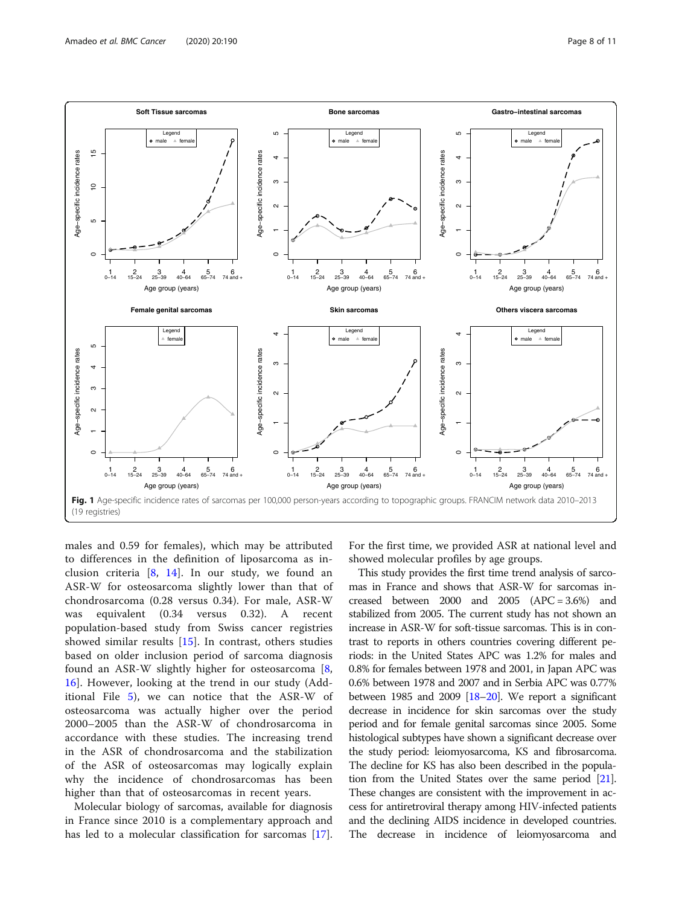<span id="page-7-0"></span>

males and 0.59 for females), which may be attributed to differences in the definition of liposarcoma as inclusion criteria  $[8, 14]$  $[8, 14]$  $[8, 14]$  $[8, 14]$ . In our study, we found an ASR-W for osteosarcoma slightly lower than that of chondrosarcoma (0.28 versus 0.34). For male, ASR-W was equivalent (0.34 versus 0.32). A recent population-based study from Swiss cancer registries showed similar results [[15](#page-10-0)]. In contrast, others studies based on older inclusion period of sarcoma diagnosis found an ASR-W slightly higher for osteosarcoma [\[8](#page-10-0), [16\]](#page-10-0). However, looking at the trend in our study (Additional File [5\)](#page-9-0), we can notice that the ASR-W of osteosarcoma was actually higher over the period 2000–2005 than the ASR-W of chondrosarcoma in accordance with these studies. The increasing trend in the ASR of chondrosarcoma and the stabilization of the ASR of osteosarcomas may logically explain why the incidence of chondrosarcomas has been higher than that of osteosarcomas in recent years.

Molecular biology of sarcomas, available for diagnosis in France since 2010 is a complementary approach and has led to a molecular classification for sarcomas [\[17](#page-10-0)].

For the first time, we provided ASR at national level and showed molecular profiles by age groups.

This study provides the first time trend analysis of sarcomas in France and shows that ASR-W for sarcomas increased between  $2000$  and  $2005$   $(APC = 3.6%)$  and stabilized from 2005. The current study has not shown an increase in ASR-W for soft-tissue sarcomas. This is in contrast to reports in others countries covering different periods: in the United States APC was 1.2% for males and 0.8% for females between 1978 and 2001, in Japan APC was 0.6% between 1978 and 2007 and in Serbia APC was 0.77% between 1985 and [20](#page-10-0)09  $[18–20]$  $[18–20]$  $[18–20]$ . We report a significant decrease in incidence for skin sarcomas over the study period and for female genital sarcomas since 2005. Some histological subtypes have shown a significant decrease over the study period: leiomyosarcoma, KS and fibrosarcoma. The decline for KS has also been described in the population from the United States over the same period [\[21](#page-10-0)]. These changes are consistent with the improvement in access for antiretroviral therapy among HIV-infected patients and the declining AIDS incidence in developed countries. The decrease in incidence of leiomyosarcoma and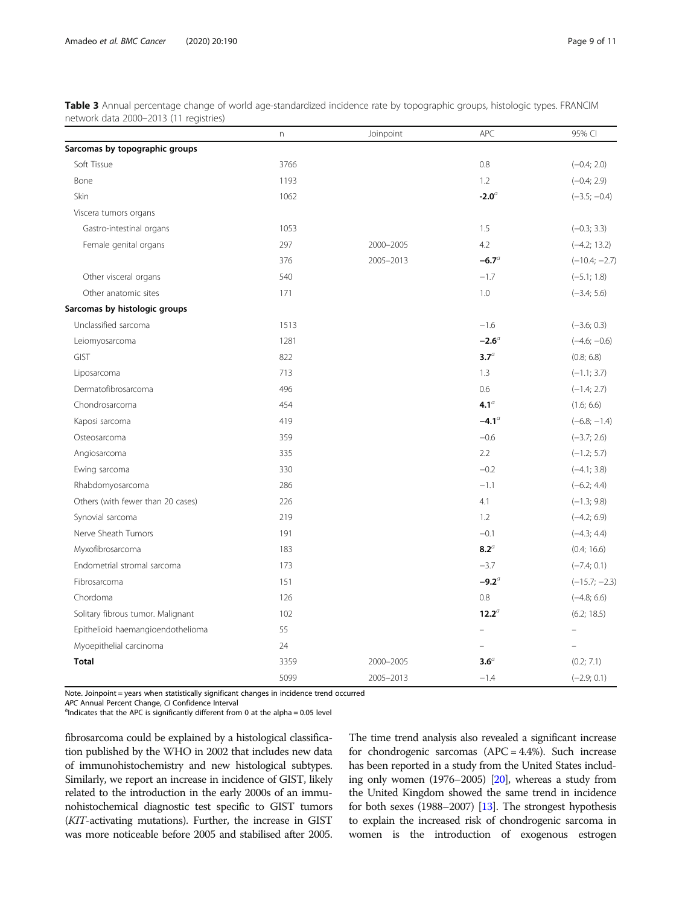<span id="page-8-0"></span>

| Table 3 Annual percentage change of world age-standardized incidence rate by topographic groups, histologic types. FRANCIM |  |  |  |  |
|----------------------------------------------------------------------------------------------------------------------------|--|--|--|--|
| network data 2000–2013 (11 registries)                                                                                     |  |  |  |  |

|                                   | n.   | Joinpoint | APC                      | 95% CI                   |
|-----------------------------------|------|-----------|--------------------------|--------------------------|
| Sarcomas by topographic groups    |      |           |                          |                          |
| Soft Tissue                       | 3766 |           | 0.8                      | $(-0.4; 2.0)$            |
| Bone                              | 1193 |           | 1.2                      | $(-0.4; 2.9)$            |
| Skin                              | 1062 |           | $-2.0a$                  | $(-3.5; -0.4)$           |
| Viscera tumors organs             |      |           |                          |                          |
| Gastro-intestinal organs          | 1053 |           | 1.5                      | $(-0.3; 3.3)$            |
| Female genital organs             | 297  | 2000-2005 | 4.2                      | $(-4.2; 13.2)$           |
|                                   | 376  | 2005-2013 | $-6.7a$                  | $(-10.4; -2.7)$          |
| Other visceral organs             | 540  |           | $-1.7$                   | $(-5.1; 1.8)$            |
| Other anatomic sites              | 171  |           | 1.0                      | $(-3.4; 5.6)$            |
| Sarcomas by histologic groups     |      |           |                          |                          |
| Unclassified sarcoma              | 1513 |           | $-1.6$                   | $(-3.6; 0.3)$            |
| Leiomyosarcoma                    | 1281 |           | $-2.6^{\circ}$           | $(-4.6; -0.6)$           |
| <b>GIST</b>                       | 822  |           | 3.7 <sup>a</sup>         | (0.8; 6.8)               |
| Liposarcoma                       | 713  |           | 1.3                      | $(-1.1; 3.7)$            |
| Dermatofibrosarcoma               | 496  |           | 0.6                      | $(-1.4; 2.7)$            |
| Chondrosarcoma                    | 454  |           | 4.1 <sup>a</sup>         | (1.6; 6.6)               |
| Kaposi sarcoma                    | 419  |           | $-4.1a$                  | $(-6.8; -1.4)$           |
| Osteosarcoma                      | 359  |           | $-0.6$                   | $(-3.7; 2.6)$            |
| Angiosarcoma                      | 335  |           | 2.2                      | $(-1.2; 5.7)$            |
| Ewing sarcoma                     | 330  |           | $-0.2$                   | $(-4.1; 3.8)$            |
| Rhabdomyosarcoma                  | 286  |           | $-1.1$                   | $(-6.2; 4.4)$            |
| Others (with fewer than 20 cases) | 226  |           | 4.1                      | $(-1.3; 9.8)$            |
| Synovial sarcoma                  | 219  |           | 1.2                      | $(-4.2; 6.9)$            |
| Nerve Sheath Tumors               | 191  |           | $-0.1$                   | $(-4.3; 4.4)$            |
| Myxofibrosarcoma                  | 183  |           | $8.2^{\circ}$            | (0.4; 16.6)              |
| Endometrial stromal sarcoma       | 173  |           | $-3.7$                   | $(-7.4; 0.1)$            |
| Fibrosarcoma                      | 151  |           | $-9.2^{\circ}$           | $(-15.7; -2.3)$          |
| Chordoma                          | 126  |           | 0.8                      | $(-4.8; 6.6)$            |
| Solitary fibrous tumor. Malignant | 102  |           | $12.2^{\circ}$           | (6.2; 18.5)              |
| Epithelioid haemangioendothelioma | 55   |           | $\overline{\phantom{0}}$ |                          |
| Myoepithelial carcinoma           | 24   |           | $\equiv$                 | $\overline{\phantom{0}}$ |
| <b>Total</b>                      | 3359 | 2000-2005 | $3.6^\circ$              | (0.2; 7.1)               |
|                                   | 5099 | 2005-2013 | $-1.4$                   | $(-2.9; 0.1)$            |

Note. Joinpoint = years when statistically significant changes in incidence trend occurred

APC Annual Percent Change, CI Confidence Interval

 $a$  Indicates that the APC is significantly different from 0 at the alpha = 0.05 level

fibrosarcoma could be explained by a histological classification published by the WHO in 2002 that includes new data of immunohistochemistry and new histological subtypes. Similarly, we report an increase in incidence of GIST, likely related to the introduction in the early 2000s of an immunohistochemical diagnostic test specific to GIST tumors (KIT-activating mutations). Further, the increase in GIST was more noticeable before 2005 and stabilised after 2005. The time trend analysis also revealed a significant increase for chondrogenic sarcomas (APC = 4.4%). Such increase has been reported in a study from the United States including only women (1976–2005) [[20](#page-10-0)], whereas a study from the United Kingdom showed the same trend in incidence for both sexes (1988–2007) [[13](#page-10-0)]. The strongest hypothesis to explain the increased risk of chondrogenic sarcoma in women is the introduction of exogenous estrogen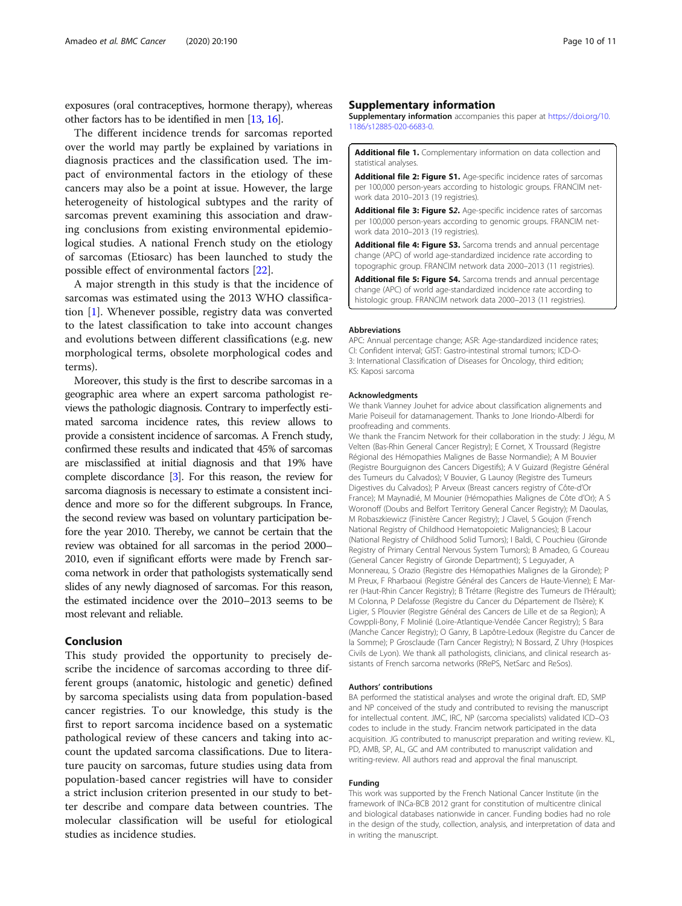<span id="page-9-0"></span>exposures (oral contraceptives, hormone therapy), whereas other factors has to be identified in men [\[13,](#page-10-0) [16\]](#page-10-0).

The different incidence trends for sarcomas reported over the world may partly be explained by variations in diagnosis practices and the classification used. The impact of environmental factors in the etiology of these cancers may also be a point at issue. However, the large heterogeneity of histological subtypes and the rarity of sarcomas prevent examining this association and drawing conclusions from existing environmental epidemiological studies. A national French study on the etiology of sarcomas (Etiosarc) has been launched to study the possible effect of environmental factors [[22\]](#page-10-0).

A major strength in this study is that the incidence of sarcomas was estimated using the 2013 WHO classification [[1\]](#page-10-0). Whenever possible, registry data was converted to the latest classification to take into account changes and evolutions between different classifications (e.g. new morphological terms, obsolete morphological codes and terms).

Moreover, this study is the first to describe sarcomas in a geographic area where an expert sarcoma pathologist reviews the pathologic diagnosis. Contrary to imperfectly estimated sarcoma incidence rates, this review allows to provide a consistent incidence of sarcomas. A French study, confirmed these results and indicated that 45% of sarcomas are misclassified at initial diagnosis and that 19% have complete discordance [\[3\]](#page-10-0). For this reason, the review for sarcoma diagnosis is necessary to estimate a consistent incidence and more so for the different subgroups. In France, the second review was based on voluntary participation before the year 2010. Thereby, we cannot be certain that the review was obtained for all sarcomas in the period 2000– 2010, even if significant efforts were made by French sarcoma network in order that pathologists systematically send slides of any newly diagnosed of sarcomas. For this reason, the estimated incidence over the 2010–2013 seems to be most relevant and reliable.

#### Conclusion

This study provided the opportunity to precisely describe the incidence of sarcomas according to three different groups (anatomic, histologic and genetic) defined by sarcoma specialists using data from population-based cancer registries. To our knowledge, this study is the first to report sarcoma incidence based on a systematic pathological review of these cancers and taking into account the updated sarcoma classifications. Due to literature paucity on sarcomas, future studies using data from population-based cancer registries will have to consider a strict inclusion criterion presented in our study to better describe and compare data between countries. The molecular classification will be useful for etiological studies as incidence studies.

#### Supplementary information

Supplementary information accompanies this paper at [https://doi.org/10.](https://doi.org/10.1186/s12885-020-6683-0) [1186/s12885-020-6683-0.](https://doi.org/10.1186/s12885-020-6683-0)

Additional file 1. Complementary information on data collection and statistical analyses.

Additional file 2: Figure S1. Age-specific incidence rates of sarcomas per 100,000 person-years according to histologic groups. FRANCIM network data 2010–2013 (19 registries).

Additional file 3: Figure S2. Age-specific incidence rates of sarcomas per 100,000 person-years according to genomic groups. FRANCIM network data 2010–2013 (19 registries).

Additional file 4: Figure S3. Sarcoma trends and annual percentage change (APC) of world age-standardized incidence rate according to topographic group. FRANCIM network data 2000–2013 (11 registries).

Additional file 5: Figure S4. Sarcoma trends and annual percentage change (APC) of world age-standardized incidence rate according to histologic group. FRANCIM network data 2000–2013 (11 registries).

#### Abbreviations

APC: Annual percentage change; ASR: Age-standardized incidence rates; CI: Confident interval; GIST: Gastro-intestinal stromal tumors; ICD-O-3: International Classification of Diseases for Oncology, third edition; KS: Kaposi sarcoma

#### Acknowledgments

We thank Vianney Jouhet for advice about classification alignements and Marie Poiseuil for datamanagement. Thanks to Jone Iriondo-Alberdi for proofreading and comments.

We thank the Francim Network for their collaboration in the study: J Jégu, M Velten (Bas-Rhin General Cancer Registry); E Cornet, X Troussard (Registre Régional des Hémopathies Malignes de Basse Normandie); A M Bouvier (Registre Bourguignon des Cancers Digestifs); A V Guizard (Registre Général des Tumeurs du Calvados); V Bouvier, G Launoy (Registre des Tumeurs Digestives du Calvados); P Arveux (Breast cancers registry of Côte-d'Or France); M Maynadié, M Mounier (Hémopathies Malignes de Côte d'Or); A S Woronoff (Doubs and Belfort Territory General Cancer Registry); M Daoulas, M Robaszkiewicz (Finistère Cancer Registry); J Clavel, S Goujon (French National Registry of Childhood Hematopoietic Malignancies); B Lacour (National Registry of Childhood Solid Tumors); I Baldi, C Pouchieu (Gironde Registry of Primary Central Nervous System Tumors); B Amadeo, G Coureau (General Cancer Registry of Gironde Department); S Leguyader, A Monnereau, S Orazio (Registre des Hémopathies Malignes de la Gironde); P M Preux, F Rharbaoui (Registre Général des Cancers de Haute-Vienne); E Marrer (Haut-Rhin Cancer Registry); B Trétarre (Registre des Tumeurs de l'Hérault); M Colonna, P Delafosse (Registre du Cancer du Département de l'Isère); K Ligier, S Plouvier (Registre Général des Cancers de Lille et de sa Region); A Cowppli-Bony, F Molinié (Loire-Atlantique-Vendée Cancer Registry); S Bara (Manche Cancer Registry); O Ganry, B Lapôtre-Ledoux (Registre du Cancer de la Somme); P Grosclaude (Tarn Cancer Registry); N Bossard, Z Uhry (Hospices Civils de Lyon). We thank all pathologists, clinicians, and clinical research assistants of French sarcoma networks (RRePS, NetSarc and ReSos).

#### Authors' contributions

BA performed the statistical analyses and wrote the original draft. ED, SMP and NP conceived of the study and contributed to revising the manuscript for intellectual content. JMC, IRC, NP (sarcoma specialists) validated ICD–O3 codes to include in the study. Francim network participated in the data acquisition. JG contributed to manuscript preparation and writing review. KL, PD, AMB, SP, AL, GC and AM contributed to manuscript validation and writing-review. All authors read and approval the final manuscript.

#### Funding

This work was supported by the French National Cancer Institute (in the framework of INCa-BCB 2012 grant for constitution of multicentre clinical and biological databases nationwide in cancer. Funding bodies had no role in the design of the study, collection, analysis, and interpretation of data and in writing the manuscript.